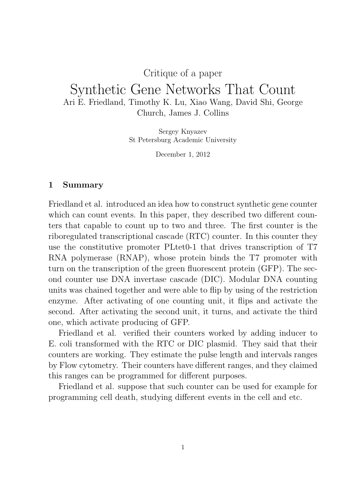## Critique of a paper

## Synthetic Gene Networks That Count Ari E. Friedland, Timothy K. Lu, Xiao Wang, David Shi, George Church, James J. Collins

Sergey Knyazev St Petersburg Academic University

December 1, 2012

## 1 Summary

Friedland et al. introduced an idea how to construct synthetic gene counter which can count events. In this paper, they described two different counters that capable to count up to two and three. The first counter is the riboregulated transcriptional cascade (RTC) counter. In this counter they use the constitutive promoter PLtet0-1 that drives transcription of T7 RNA polymerase (RNAP), whose protein binds the T7 promoter with turn on the transcription of the green fluorescent protein (GFP). The second counter use DNA invertase cascade (DIC). Modular DNA counting units was chained together and were able to flip by using of the restriction enzyme. After activating of one counting unit, it flips and activate the second. After activating the second unit, it turns, and activate the third one, which activate producing of GFP.

Friedland et al. verified their counters worked by adding inducer to E. coli transformed with the RTC or DIC plasmid. They said that their counters are working. They estimate the pulse length and intervals ranges by Flow cytometry. Their counters have different ranges, and they claimed this ranges can be programmed for different purposes.

Friedland et al. suppose that such counter can be used for example for programming cell death, studying different events in the cell and etc.